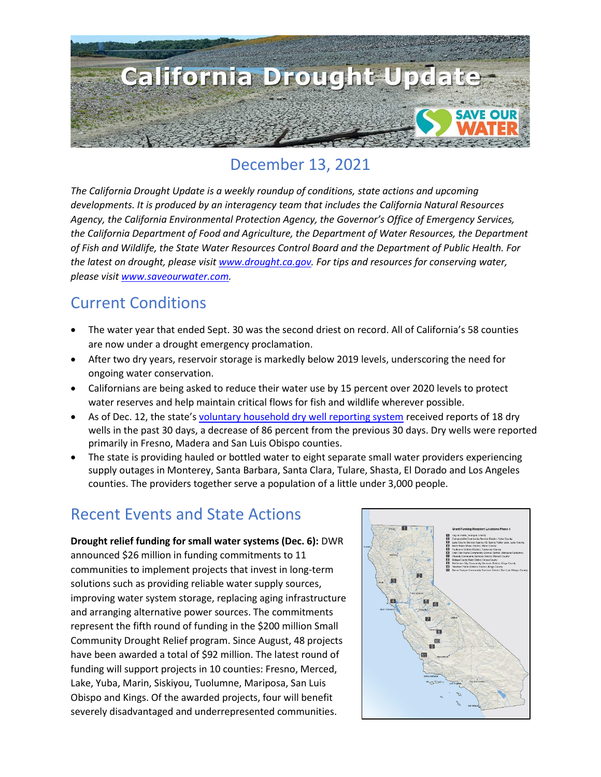

### December 13, 2021

*The California Drought Update is a weekly roundup of conditions, state actions and upcoming developments. It is produced by an interagency team that includes the California Natural Resources Agency, the California Environmental Protection Agency, the Governor's Office of Emergency Services, the California Department of Food and Agriculture, the Department of Water Resources, the Department of Fish and Wildlife, the State Water Resources Control Board and the Department of Public Health. For the latest on drought, please visit [www.drought.ca.gov.](http://www.drought.ca.gov/) For tips and resources for conserving water, please visit [www.saveourwater.com.](http://www.saveourwater.com/)*

### Current Conditions

- The water year that ended Sept. 30 was the second driest on record. All of California's 58 counties are now under a drought emergency proclamation.
- After two dry years, reservoir storage is markedly below 2019 levels, underscoring the need for ongoing water conservation.
- Californians are being asked to reduce their water use by 15 percent over 2020 levels to protect water reserves and help maintain critical flows for fish and wildlife wherever possible.
- As of Dec. 12, the state's [voluntary household dry well reporting system](https://mydrywell.water.ca.gov/report/) received reports of 18 dry wells in the past 30 days, a decrease of 86 percent from the previous 30 days. Dry wells were reported primarily in Fresno, Madera and San Luis Obispo counties.
- The state is providing hauled or bottled water to eight separate small water providers experiencing supply outages in Monterey, Santa Barbara, Santa Clara, Tulare, Shasta, El Dorado and Los Angeles counties. The providers together serve a population of a little under 3,000 people.

## Recent Events and State Actions

**Drought relief funding for small water systems (Dec. 6):** DWR announced \$26 million in funding commitments to 11 communities to implement projects that invest in long-term solutions such as providing reliable water supply sources, improving water system storage, replacing aging infrastructure and arranging alternative power sources. The commitments represent the fifth round of funding in the \$200 million Small Community Drought Relief program. Since August, 48 projects have been awarded a total of \$92 million. The latest round of funding will support projects in 10 counties: Fresno, Merced, Lake, Yuba, Marin, Siskiyou, Tuolumne, Mariposa, San Luis Obispo and Kings. Of the awarded projects, four will benefit severely disadvantaged and underrepresented communities.

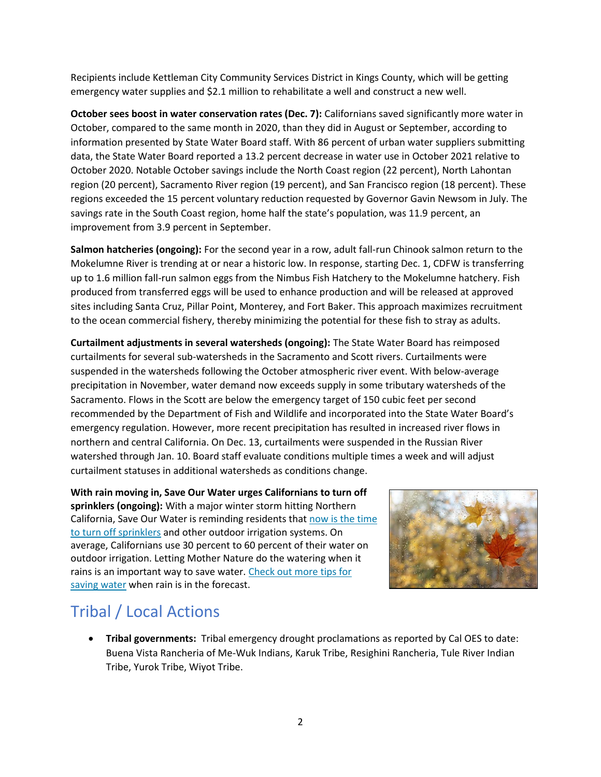Recipients include Kettleman City Community Services District in Kings County, which will be getting emergency water supplies and \$2.1 million to rehabilitate a well and construct a new well.

**October sees boost in water conservation rates (Dec. 7):** Californians saved significantly more water in October, compared to the same month in 2020, than they did in August or September, according to information presented by State Water Board staff. With 86 percent of urban water suppliers submitting data, the State Water Board reported a 13.2 percent decrease in water use in October 2021 relative to October 2020. Notable October savings include the North Coast region (22 percent), North Lahontan region (20 percent), Sacramento River region (19 percent), and San Francisco region (18 percent). These regions exceeded the 15 percent voluntary reduction requested by Governor Gavin Newsom in July. The savings rate in the South Coast region, home half the state's population, was 11.9 percent, an improvement from 3.9 percent in September.

**Salmon hatcheries (ongoing):** For the second year in a row, adult fall-run Chinook salmon return to the Mokelumne River is trending at or near a historic low. In response, starting Dec. 1, CDFW is transferring up to 1.6 million fall-run salmon eggs from the Nimbus Fish Hatchery to the Mokelumne hatchery. Fish produced from transferred eggs will be used to enhance production and will be released at approved sites including Santa Cruz, Pillar Point, Monterey, and Fort Baker. This approach maximizes recruitment to the ocean commercial fishery, thereby minimizing the potential for these fish to stray as adults.

**Curtailment adjustments in several watersheds (ongoing):** The State Water Board has reimposed curtailments for several sub-watersheds in the Sacramento and Scott rivers. Curtailments were suspended in the watersheds following the October atmospheric river event. With below-average precipitation in November, water demand now exceeds supply in some tributary watersheds of the Sacramento. Flows in the Scott are below the emergency target of 150 cubic feet per second recommended by the Department of Fish and Wildlife and incorporated into the State Water Board's emergency regulation. However, more recent precipitation has resulted in increased river flows in northern and central California. On Dec. 13, curtailments were suspended in the Russian River watershed through Jan. 10. Board staff evaluate conditions multiple times a week and will adjust curtailment statuses in additional watersheds as conditions change.

**With rain moving in, Save Our Water urges Californians to turn off sprinklers (ongoing):** With a major winter storm hitting Northern California, Save Our Water is reminding residents that [now is the time](https://saveourwater.com/-/media/SOW-Website/Files/20211209-SOW-Rainfall-Press-Release-FINALSB.pdf)  [to turn off sprinklers](https://saveourwater.com/-/media/SOW-Website/Files/20211209-SOW-Rainfall-Press-Release-FINALSB.pdf) and other outdoor irrigation systems. On average, Californians use 30 percent to 60 percent of their water on outdoor irrigation. Letting Mother Nature do the watering when it rains is an important way to save water. [Check out more](https://saveourwater.com/How-to-Save-Water/Around-the-Yard) tips for [saving water](https://saveourwater.com/How-to-Save-Water/Around-the-Yard) when rain is in the forecast.



# Tribal / Local Actions

• **Tribal governments:** Tribal emergency drought proclamations as reported by Cal OES to date: Buena Vista Rancheria of Me-Wuk Indians, Karuk Tribe, Resighini Rancheria, Tule River Indian Tribe, Yurok Tribe, Wiyot Tribe.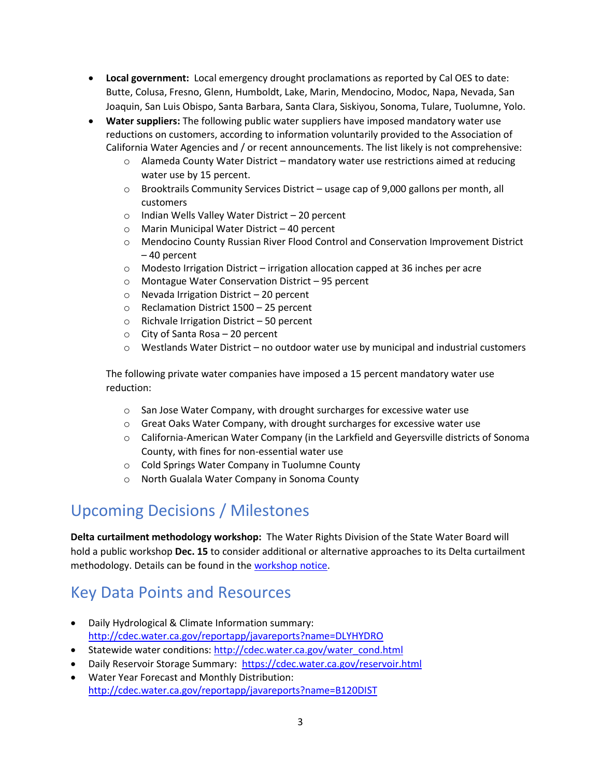- **Local government:** Local emergency drought proclamations as reported by Cal OES to date: Butte, Colusa, Fresno, Glenn, Humboldt, Lake, Marin, Mendocino, Modoc, Napa, Nevada, San Joaquin, San Luis Obispo, Santa Barbara, Santa Clara, Siskiyou, Sonoma, Tulare, Tuolumne, Yolo.
- **Water suppliers:** The following public water suppliers have imposed mandatory water use reductions on customers, according to information voluntarily provided to the Association of California Water Agencies and / or recent announcements. The list likely is not comprehensive:
	- o Alameda County Water District mandatory water use restrictions aimed at reducing water use by 15 percent.
	- $\circ$  Brooktrails Community Services District usage cap of 9,000 gallons per month, all customers
	- o Indian Wells Valley Water District 20 percent
	- o Marin Municipal Water District 40 percent
	- o Mendocino County Russian River Flood Control and Conservation Improvement District – 40 percent
	- $\circ$  Modesto Irrigation District irrigation allocation capped at 36 inches per acre
	- o Montague Water Conservation District 95 percent
	- o Nevada Irrigation District 20 percent
	- o Reclamation District 1500 25 percent
	- o Richvale Irrigation District 50 percent
	- o City of Santa Rosa 20 percent
	- $\circ$  Westlands Water District no outdoor water use by municipal and industrial customers

The following private water companies have imposed a 15 percent mandatory water use reduction:

- o San Jose Water Company, with drought surcharges for excessive water use
- $\circ$  Great Oaks Water Company, with drought surcharges for excessive water use
- o California-American Water Company (in the Larkfield and Geyersville districts of Sonoma County, with fines for non-essential water use
- o Cold Springs Water Company in Tuolumne County
- o North Gualala Water Company in Sonoma County

### Upcoming Decisions / Milestones

**Delta curtailment methodology workshop:** The Water Rights Division of the State Water Board will hold a public workshop **Dec. 15** to consider additional or alternative approaches to its Delta curtailment methodology. Details can be found in the [workshop notice.](https://www.waterboards.ca.gov/drought/delta/docs/2021/121521-workshop-notice.pdf)

### Key Data Points and Resources

- Daily Hydrological & Climate Information summary: <http://cdec.water.ca.gov/reportapp/javareports?name=DLYHYDRO>
- Statewide water conditions: [http://cdec.water.ca.gov/water\\_cond.html](http://cdec.water.ca.gov/water_cond.html)
- Daily Reservoir Storage Summary:<https://cdec.water.ca.gov/reservoir.html>
- [Water Year Forecast and Monthly Distribution:](http://cdec.water.ca.gov/reportapp/javareports?name=B120DIST) <http://cdec.water.ca.gov/reportapp/javareports?name=B120DIST>